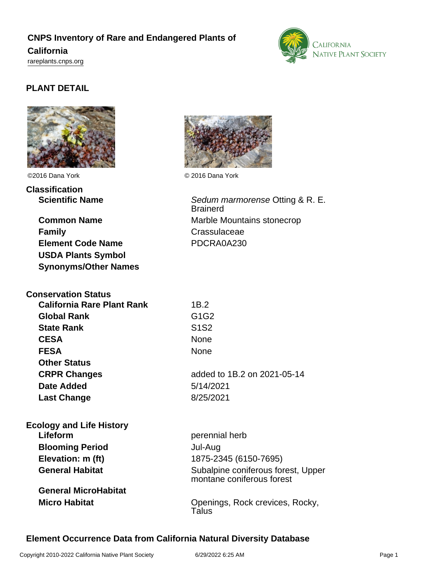# **CNPS Inventory of Rare and Endangered Plants of California**

<rareplants.cnps.org>

## **PLANT DETAIL**



**Classification**

**Family** Crassulaceae **Element Code Name** PDCRA0A230 **USDA Plants Symbol Synonyms/Other Names**

## **Conservation Status California Rare Plant Rank** 1B.2 **Global Rank** G1G2 **State Rank** S1S2 **CESA** None **FESA Other Status CRPR Changes Date Added Last Change**



©2016 Dana York © 2016 Dana York

**Scientific Name** Sedum marmorense Otting & R. E. Brainerd **Common Name** Marble Mountains stonecrop

| <b>FESA</b>                     | None                                                            |
|---------------------------------|-----------------------------------------------------------------|
| <b>Other Status</b>             |                                                                 |
| <b>CRPR Changes</b>             | added to 1B.2 on 2021-05-14                                     |
| Date Added                      | 5/14/2021                                                       |
| <b>Last Change</b>              | 8/25/2021                                                       |
| <b>Ecology and Life History</b> |                                                                 |
| Lifeform                        | perennial herb                                                  |
| <b>Blooming Period</b>          | Jul-Aug                                                         |
| Elevation: m (ft)               | 1875-2345 (6150-7695)                                           |
| <b>General Habitat</b>          | Subalpine coniferous forest, Upper<br>montane coniferous forest |
| <b>General MicroHabitat</b>     |                                                                 |
| <b>Micro Habitat</b>            | Openings, Rock crevices, Rocky,<br>Talus                        |

## **Element Occurrence Data from California Natural Diversity Database**

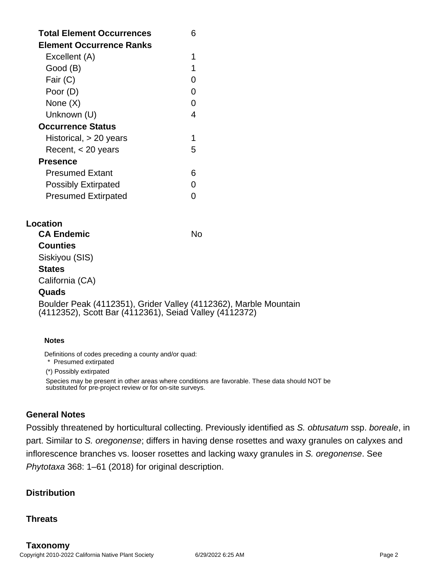| <b>Total Element Occurrences</b><br><b>Element Occurrence Ranks</b> |   |
|---------------------------------------------------------------------|---|
| Excellent (A)                                                       |   |
| Good (B)                                                            |   |
| Fair (C)                                                            |   |
| Poor (D)                                                            |   |
| None $(X)$                                                          |   |
| Unknown (U)                                                         | 4 |
| <b>Occurrence Status</b>                                            |   |
| Historical, $> 20$ years                                            |   |
| Recent, $<$ 20 years                                                | 5 |
| Presence                                                            |   |
| <b>Presumed Extant</b>                                              | 6 |
| <b>Possibly Extirpated</b>                                          |   |
| <b>Presumed Extirpated</b>                                          |   |

#### **Location**

**CA Endemic** No. No. **Counties** Siskiyou (SIS) **States** California (CA) **Quads** Boulder Peak (4112351), Grider Valley (4112362), Marble Mountain

(4112352), Scott Bar (4112361), Seiad Valley (4112372)

#### **Notes**

Definitions of codes preceding a county and/or quad:

\* Presumed extirpated

(\*) Possibly extirpated

Species may be present in other areas where conditions are favorable. These data should NOT be substituted for pre-project review or for on-site surveys.

### **General Notes**

Possibly threatened by horticultural collecting. Previously identified as S. obtusatum ssp. boreale, in part. Similar to S. oregonense; differs in having dense rosettes and waxy granules on calyxes and inflorescence branches vs. looser rosettes and lacking waxy granules in S. oregonense. See Phytotaxa 368: 1–61 (2018) for original description.

### **Distribution**

### **Threats**